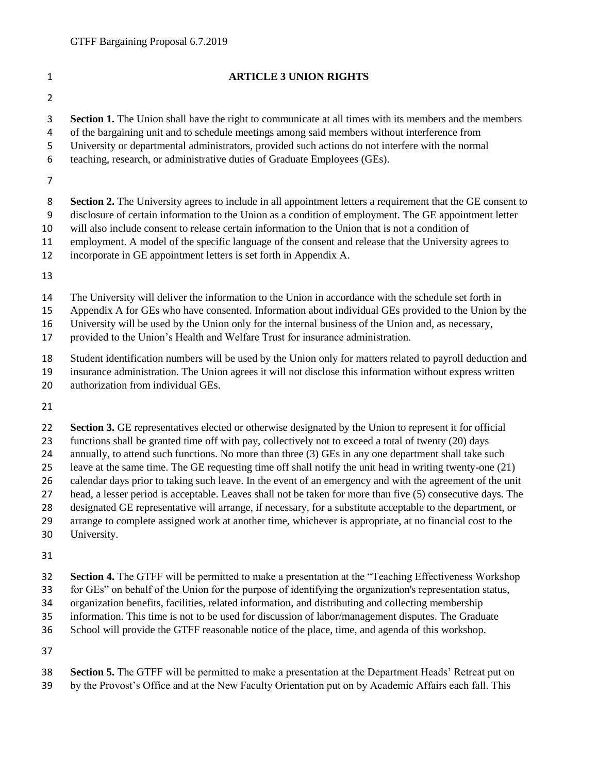| $\mathbf{1}$                                       | <b>ARTICLE 3 UNION RIGHTS</b>                                                                                                                                                                                                                                                                                                                                                                                                                                                                                                                                                                                                                                                                                                                                                                                                                                                                            |
|----------------------------------------------------|----------------------------------------------------------------------------------------------------------------------------------------------------------------------------------------------------------------------------------------------------------------------------------------------------------------------------------------------------------------------------------------------------------------------------------------------------------------------------------------------------------------------------------------------------------------------------------------------------------------------------------------------------------------------------------------------------------------------------------------------------------------------------------------------------------------------------------------------------------------------------------------------------------|
| $\overline{2}$                                     |                                                                                                                                                                                                                                                                                                                                                                                                                                                                                                                                                                                                                                                                                                                                                                                                                                                                                                          |
| 3<br>4<br>5<br>6<br>$\overline{7}$                 | Section 1. The Union shall have the right to communicate at all times with its members and the members<br>of the bargaining unit and to schedule meetings among said members without interference from<br>University or departmental administrators, provided such actions do not interfere with the normal<br>teaching, research, or administrative duties of Graduate Employees (GEs).                                                                                                                                                                                                                                                                                                                                                                                                                                                                                                                 |
| 8<br>9<br>10<br>11<br>12<br>13                     | <b>Section 2.</b> The University agrees to include in all appointment letters a requirement that the GE consent to<br>disclosure of certain information to the Union as a condition of employment. The GE appointment letter<br>will also include consent to release certain information to the Union that is not a condition of<br>employment. A model of the specific language of the consent and release that the University agrees to<br>incorporate in GE appointment letters is set forth in Appendix A.                                                                                                                                                                                                                                                                                                                                                                                           |
| 14<br>15<br>16<br>17                               | The University will deliver the information to the Union in accordance with the schedule set forth in<br>Appendix A for GEs who have consented. Information about individual GEs provided to the Union by the<br>University will be used by the Union only for the internal business of the Union and, as necessary,<br>provided to the Union's Health and Welfare Trust for insurance administration.                                                                                                                                                                                                                                                                                                                                                                                                                                                                                                   |
| 18<br>19<br>20                                     | Student identification numbers will be used by the Union only for matters related to payroll deduction and<br>insurance administration. The Union agrees it will not disclose this information without express written<br>authorization from individual GEs.                                                                                                                                                                                                                                                                                                                                                                                                                                                                                                                                                                                                                                             |
| 21                                                 |                                                                                                                                                                                                                                                                                                                                                                                                                                                                                                                                                                                                                                                                                                                                                                                                                                                                                                          |
| 22<br>23<br>24<br>25<br>26<br>27<br>28<br>29<br>30 | Section 3. GE representatives elected or otherwise designated by the Union to represent it for official<br>functions shall be granted time off with pay, collectively not to exceed a total of twenty (20) days<br>annually, to attend such functions. No more than three (3) GEs in any one department shall take such<br>leave at the same time. The GE requesting time off shall notify the unit head in writing twenty-one (21)<br>calendar days prior to taking such leave. In the event of an emergency and with the agreement of the unit<br>head, a lesser period is acceptable. Leaves shall not be taken for more than five (5) consecutive days. The<br>designated GE representative will arrange, if necessary, for a substitute acceptable to the department, or<br>arrange to complete assigned work at another time, whichever is appropriate, at no financial cost to the<br>University. |

**Section 4.** The GTFF will be permitted to make a presentation at the "Teaching Effectiveness Workshop

 for GEs" on behalf of the Union for the purpose of identifying the organization's representation status, organization benefits, facilities, related information, and distributing and collecting membership

information. This time is not to be used for discussion of labor/management disputes. The Graduate

School will provide the GTFF reasonable notice of the place, time, and agenda of this workshop.

**Section 5.** The GTFF will be permitted to make a presentation at the Department Heads' Retreat put on

by the Provost's Office and at the New Faculty Orientation put on by Academic Affairs each fall. This